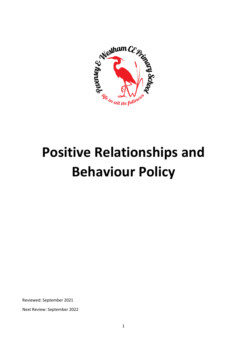

# **Positive Relationships and Behaviour Policy**

Reviewed: September 2021

Next Review: September 2022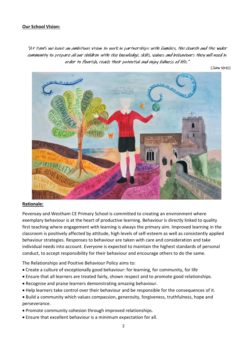# **Our School Vision:**

"At PawS we have an ambitious vision to work in partnerships with families, the church and the wider community to prepare all our children with the knowledge, skills, values and behaviours they will need in order to flourish, reach their potential and enjoy fullness of life."

 $(John 10:10)$ 



#### **Rationale:**

Pevensey and Westham CE Primary School is committed to creating an environment where exemplary behaviour is at the heart of productive learning. Behaviour is directly linked to quality first teaching where engagement with learning is always the primary aim. Improved learning in the classroom is positively affected by attitude, high levels of self-esteem as well as consistently applied behaviour strategies. Responses to behaviour are taken with care and consideration and take individual needs into account. Everyone is expected to maintain the highest standards of personal conduct, to accept responsibility for their behaviour and encourage others to do the same.

The Relationships and Positive Behaviour Policy aims to:

- Create a culture of exceptionally good behaviour: for learning, for community, for life
- Ensure that all learners are treated fairly, shown respect and to promote good relationships.
- Recognise and praise learners demonstrating amazing behaviour.
- Help learners take control over their behaviour and be responsible for the consequences of it.
- Build a community which values compassion, generosity, forgiveness, truthfulness, hope and perseverance.
- Promote community cohesion through improved relationships.
- Ensure that excellent behaviour is a minimum expectation for all.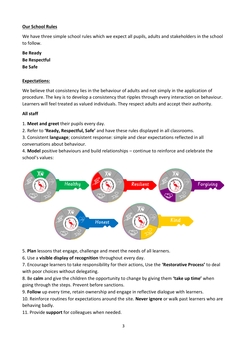# **Our School Rules**

We have three simple school rules which we expect all pupils, adults and stakeholders in the school to follow.

**Be Ready Be Respectful Be Safe**

#### **Expectations:**

We believe that consistency lies in the behaviour of adults and not simply in the application of procedure. The key is to develop a consistency that ripples through every interaction on behaviour. Learners will feel treated as valued individuals. They respect adults and accept their authority.

#### **All staff**

1. **Meet and greet** their pupils every day.

2. Refer to **'Ready, Respectful, Safe'** and have these rules displayed in all classrooms.

3. Consistent **language**; consistent response: simple and clear expectations reflected in all conversations about behaviour.

4. **Model** positive behaviours and build relationships – continue to reinforce and celebrate the school's values:



5. **Plan** lessons that engage, challenge and meet the needs of all learners.

6. Use a **visible display of recognition** throughout every day.

7. Encourage learners to take responsibility for their actions, Use the **'Restorative Process'** to deal with poor choices without delegating.

8. Be **calm** and give the children the opportunity to change by giving them **'take up time'** when going through the steps. Prevent before sanctions.

9. **Follow** up every time, retain ownership and engage in reflective dialogue with learners.

10. Reinforce routines for expectations around the site. **Never ignore** or walk past learners who are behaving badly.

11. Provide **support** for colleagues when needed.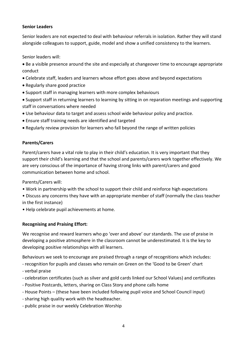# **Senior Leaders**

Senior leaders are not expected to deal with behaviour referrals in isolation. Rather they will stand alongside colleagues to support, guide, model and show a unified consistency to the learners.

Senior leaders will:

- Be a visible presence around the site and especially at changeover time to encourage appropriate conduct
- Celebrate staff, leaders and learners whose effort goes above and beyond expectations
- Regularly share good practice
- Support staff in managing learners with more complex behaviours
- Support staff in returning learners to learning by sitting in on reparation meetings and supporting staff in conversations where needed
- Use behaviour data to target and assess school wide behaviour policy and practice.
- Ensure staff training needs are identified and targeted
- Regularly review provision for learners who fall beyond the range of written policies

## **Parents/Carers**

Parent/carers have a vital role to play in their child's education. It is very important that they support their child's learning and that the school and parents/carers work together effectively. We are very conscious of the importance of having strong links with parent/carers and good communication between home and school.

Parents/Carers will:

- Work in partnership with the school to support their child and reinforce high expectations
- Discuss any concerns they have with an appropriate member of staff (normally the class teacher in the first instance)
- Help celebrate pupil achievements at home.

## **Recognising and Praising Effort:**

We recognise and reward learners who go 'over and above' our standards. The use of praise in developing a positive atmosphere in the classroom cannot be underestimated. It is the key to developing positive relationships with all learners.

Behaviours we seek to encourage are praised through a range of recognitions which includes:

- recognition for pupils and classes who remain on Green on the 'Good to be Green' chart
- verbal praise
- celebration certificates (such as silver and gold cards linked our School Values) and certificates
- Positive Postcards, letters, sharing on Class Story and phone calls home
- House Points (these have been included following pupil voice and School Council input)
- sharing high quality work with the headteacher.
- public praise in our weekly Celebration Worship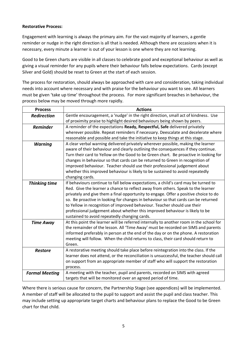#### **Restorative Process:**

Engagement with learning is always the primary aim. For the vast majority of learners, a gentle reminder or nudge in the right direction is all that is needed. Although there are occasions when it is necessary, every minute a learner is out of your lesson is one where they are not learning.

Good to be Green charts are visible in all classes to celebrate good and exceptional behaviour as well as giving a visual reminder for any pupils where their behaviour falls below expectations. Cards (except Silver and Gold) should be reset to Green at the start of each session.

The process for restoration, should always be approached with care and consideration, taking individual needs into account where necessary and with praise for the behaviour you want to see. All learners must be given 'take up time' throughout the process. For more significant breaches in behaviour, the process below may be moved through more rapidly.

| <b>Process</b>        | <b>Actions</b>                                                                          |
|-----------------------|-----------------------------------------------------------------------------------------|
| <b>Redirection</b>    | Gentle encouragement, a 'nudge' in the right direction, small act of kindness. Use      |
|                       | of proximity praise to highlight desired behaviours being shown by peers.               |
| <b>Reminder</b>       | A reminder of the expectations Ready, Respectful, Safe delivered privately              |
|                       | wherever possible. Repeat reminders if necessary. Deescalate and decelerate where       |
|                       | reasonable and possible and take the initiative to keep things at this stage.           |
| <b>Warning</b>        | A clear verbal warning delivered privately wherever possible, making the learner        |
|                       | aware of their behaviour and clearly outlining the consequences if they continue.       |
|                       | Turn their card to Yellow on the Good to be Green chart. Be proactive in looking for    |
|                       | changes in behaviour so that cards can be returned to Green in recognition of           |
|                       | improved behaviour. Teacher should use their professional judgement about               |
|                       | whether this improved behaviour is likely to be sustained to avoid repeatedly           |
|                       | changing cards.                                                                         |
| <b>Thinking time</b>  | If behaviours continue to fall below expectations, a child's card may be turned to      |
|                       | Red. Give the learner a chance to reflect away from others. Speak to the learner        |
|                       | privately and give them a final opportunity to engage. Offer a positive choice to do    |
|                       | so. Be proactive in looking for changes in behaviour so that cards can be returned      |
|                       | to Yellow in recognition of improved behaviour. Teacher should use their                |
|                       | professional judgement about whether this improved behaviour is likely to be            |
|                       | sustained to avoid repeatedly changing cards.                                           |
| <b>Time Away</b>      | At this point the learner will be referred internally to another room in the school for |
|                       | the remainder of the lesson. All 'Time Away' must be recorded on SIMS and parents       |
|                       | informed preferably in person at the end of the day or on the phone. A restoration      |
|                       | meeting will follow. When the child returns to class, their card should return to       |
|                       | Green.                                                                                  |
| <b>Restore</b>        | A restorative meeting should take place before reintegration into the class. If the     |
|                       | learner does not attend, or the reconciliation is unsuccessful, the teacher should call |
|                       | on support from an appropriate member of staff who will support the restoration         |
|                       | process.                                                                                |
| <b>Formal Meeting</b> | A meeting with the teacher, pupil and parents, recorded on SIMS with agreed             |
|                       | targets that will be monitored over an agreed period of time.                           |

Where there is serious cause for concern, the Partnership Stage (see appendices) will be implemented. A member of staff will be allocated to the pupil to support and assist the pupil and class teacher. This may include setting up appropriate target charts and behaviour plans to replace the Good to be Green chart for that child.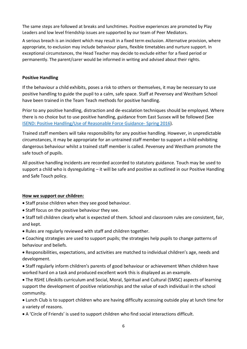The same steps are followed at breaks and lunchtimes. Positive experiences are promoted by Play Leaders and low level friendship issues are supported by our team of Peer Mediators.

A serious breach is an incident which may result in a fixed term exclusion. Alternative provision, where appropriate, to exclusion may include behaviour plans, flexible timetables and nurture support. In exceptional circumstances, the Head Teacher may decide to exclude either for a fixed period or permanently. The parent/carer would be informed in writing and advised about their rights.

## **Positive Handling**

If the behaviour a child exhibits, poses a risk to others or themselves, it may be necessary to use positive handling to guide the pupil to a calm, safe space. Staff at Pevensey and Westham School have been trained in the Team Teach methods for positive handling.

Prior to any positive handling, distraction and de-escalation techniques should be employed. Where there is no choice but to use positive handling, guidance from East Sussex will be followed (See [ISEND: Positive Handling/Use of Reasonable Force Guidance-](http://westrisejunior.co.uk/wp-content/uploads/2012/12/West-Rise-Positive-Handling-Policy.pdf) Spring 2016).

Trained staff members will take responsibility for any positive handling. However, in unpredictable circumstances, it may be appropriate for an untrained staff member to support a child exhibiting dangerous behaviour whilst a trained staff member is called. Pevensey and Westham promote the safe touch of pupils.

All positive handling incidents are recorded accorded to statutory guidance. Touch may be used to support a child who is dysregulating – it will be safe and positive as outlined in our Positive Handling and Safe Touch policy.

## **How we support our children:**

- Staff praise children when they see good behaviour.
- Staff focus on the positive behaviour they see.
- Staff tell children clearly what is expected of them. School and classroom rules are consistent, fair, and kept.
- Rules are regularly reviewed with staff and children together.
- Coaching strategies are used to support pupils; the strategies help pupils to change patterns of behaviour and beliefs.
- Responsibilities, expectations, and activities are matched to individual children's age, needs and development.
- Staff regularly inform children's parents of good behaviour or achievement When children have worked hard on a task and produced excellent work this is displayed as an example.
- The RSHE Lifeskills curriculum and Social, Moral, Spiritual and Cultural (SMSC) aspects of learning support the development of positive relationships and the value of each individual in the school community.
- Lunch Club is to support children who are having difficulty accessing outside play at lunch time for a variety of reasons.
- A 'Circle of Friends' is used to support children who find social interactions difficult.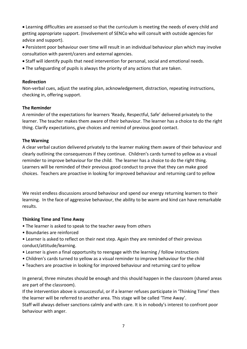Learning difficulties are assessed so that the curriculum is meeting the needs of every child and getting appropriate support. (Involvement of SENCo who will consult with outside agencies for advice and support).

- Persistent poor behaviour over time will result in an individual behaviour plan which may involve consultation with parent/carers and external agencies.
- Staff will identify pupils that need intervention for personal, social and emotional needs.
- The safeguarding of pupils is always the priority of any actions that are taken.

#### **Redirection**

Non-verbal cues, adjust the seating plan, acknowledgement, distraction, repeating instructions, checking in, offering support.

#### **The Reminder**

A reminder of the expectations for learners 'Ready, Respectful, Safe' delivered privately to the learner. The teacher makes them aware of their behaviour. The learner has a choice to do the right thing. Clarify expectations, give choices and remind of previous good contact.

#### **The Warning**

A clear verbal caution delivered privately to the learner making them aware of their behaviour and clearly outlining the consequences if they continue. Children's cards turned to yellow as a visual reminder to improve behaviour for the child. The learner has a choice to do the right thing. Learners will be reminded of their previous good conduct to prove that they can make good choices. Teachers are proactive in looking for improved behaviour and returning card to yellow

We resist endless discussions around behaviour and spend our energy returning learners to their learning. In the face of aggressive behaviour, the ability to be warm and kind can have remarkable results.

## **Thinking Time and Time Away**

- The learner is asked to speak to the teacher away from others
- Boundaries are reinforced
- Learner is asked to reflect on their next step. Again they are reminded of their previous conduct/attitude/learning.
- Learner is given a final opportunity to reengage with the learning / follow instructions
- Children's cards turned to yellow as a visual reminder to improve behaviour for the child
- Teachers are proactive in looking for improved behaviour and returning card to yellow

In general, three minutes should be enough and this should happen in the classroom (shared areas are part of the classroom).

If the intervention above is unsuccessful, or if a learner refuses participate in 'Thinking Time' then the learner will be referred to another area. This stage will be called 'Time Away'.

Staff will always deliver sanctions calmly and with care. It is in nobody's interest to confront poor behaviour with anger.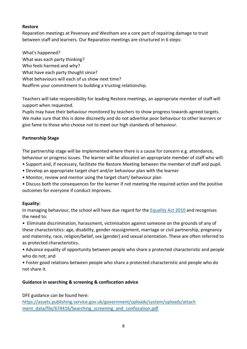# **Restore**

Reparation meetings at Pevensey and Westham are a core part of repairing damage to trust between staff and learners. Our Reparation meetings are structured in 6 steps:

What's happened? What was each party thinking? Who feels harmed and why? What have each party thought since? What behaviours will each of us show next time? Reaffirm your commitment to building a trusting relationship.

Teachers will take responsibility for leading Restore meetings, an appropriate member of staff will support when requested.

Pupils may have their behaviour monitored by teachers to show progress towards agreed targets. We make sure that this is done discreetly and do not advertise poor behaviour to other learners or give fame to those who choose not to meet our high standards of behaviour.

# **Partnership Stage**

The partnership stage will be implemented where there is a cause for concern e.g. attendance, behaviour or progress issues. The learner will be allocated an appropriate member of staff who will:

- Support and, if necessary, facilitate the Restore Meeting between the member of staff and pupil.
- Develop an appropriate target chart and/or behaviour plan with the learner
- Monitor, review and mentor using the target chart/ behaviour plan
- Discuss both the consequences for the learner if not meeting the required action and the positive outcomes for everyone if conduct improves.

## **Equality:**

In managing behaviour, the school will have due regard for the Equality [Act 2010](https://www.gov.uk/guidance/equality-act-2010-guidance) and recognises the need to:

• Eliminate discrimination, harassment, victimisation against someone on the grounds of any of these characteristics: age, disability, gender reassignment, marriage or civil partnership, pregnancy and maternity, race, religion/belief, sex (gender) and sexual orientation. These are often referred to as protected characteristics.

• Advance equality of opportunity between people who share a protected characteristic and people who do not; and

• Foster good relations between people who share a protected characteristic and people who do not share it.

## **Guidance in searching & screening & confiscation advice**

DFE guidance can be found here:

[https://assets.publishing.service.gov.uk/government/uploads/system/uploads/attach](https://assets.publishing.service.gov.uk/government/uploads/system/uploads/attach%20ment_data/file/674416/Searching_screening_and_confiscation.pdf)  [ment\\_data/file/674416/Searching\\_screening\\_and\\_confiscation.pdf](https://assets.publishing.service.gov.uk/government/uploads/system/uploads/attach%20ment_data/file/674416/Searching_screening_and_confiscation.pdf)